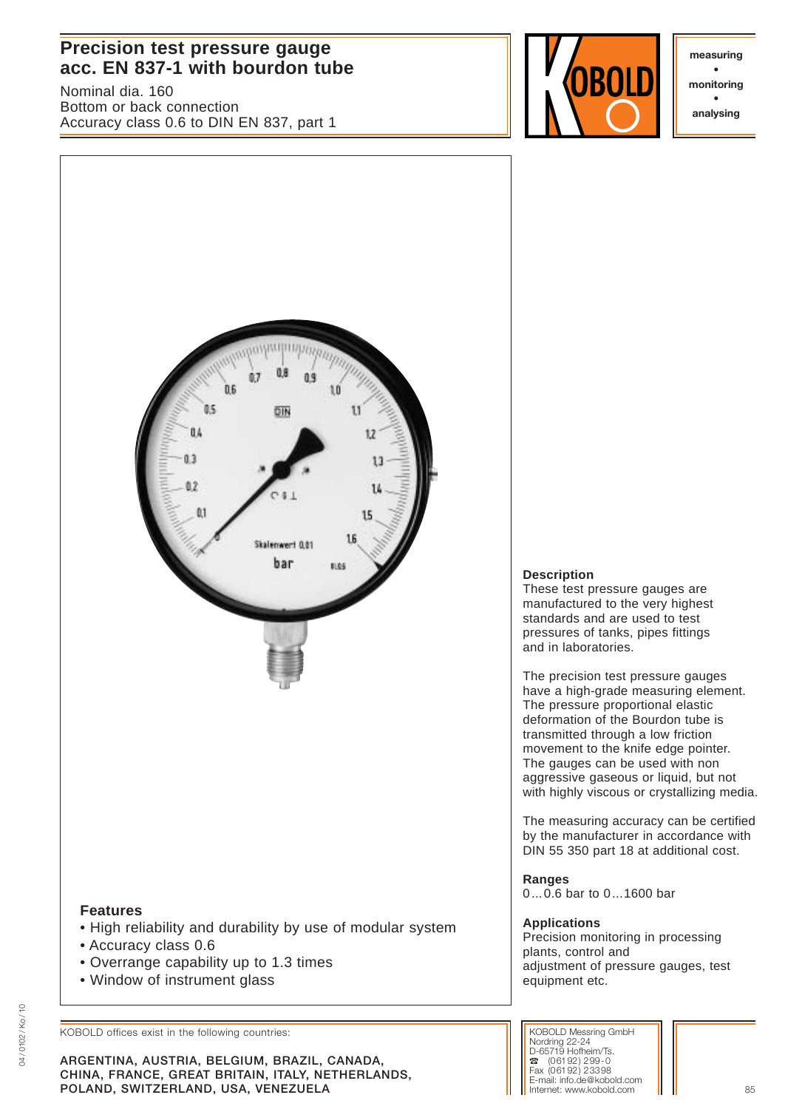# **Precision test pressure gauge**  acc. EN 837-1 with bourdon tube

Nominal dia. 160 Bottom or back connection Accuracy class 0.6 to DIN EN 837, part 1



**• monitoring • analysing**



KOBOLD offices exist in the following countries:

**ARGENTINA, AUSTRIA, BELGIUM, BRAZIL, CANADA, CHINA, FRANCE, GREAT BRITAIN, ITALY, NETHERLANDS, POLAND, SWITZERLAND, USA, VENEZUELA** 85

# **Description**

These test pressure gauges are manufactured to the very highest standards and are used to test pressures of tanks, pipes fittings and in laboratories.

The precision test pressure gauges have a high-grade measuring element. The pressure proportional elastic deformation of the Bourdon tube is transmitted through a low friction movement to the knife edge pointer. The gauges can be used with non aggressive gaseous or liquid, but not with highly viscous or crystallizing media.

The measuring accuracy can be certified by the manufacturer in accordance with DIN 55 350 part 18 at additional cost.

**Ranges** 0...0.6 bar to 0...1600 bar

# **Applications**

Precision monitoring in processing plants, control and adjustment of pressure gauges, test equipment etc.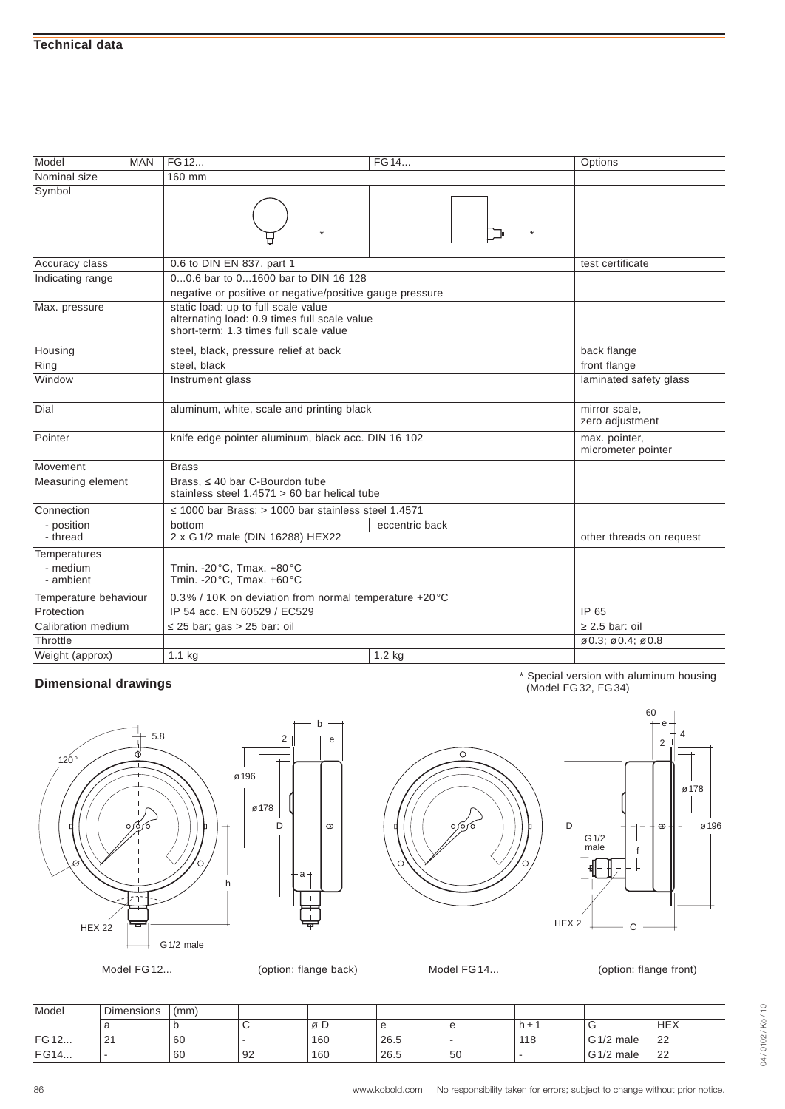| Model<br><b>MAN</b>    | FG 12                                                                          | FG 14                                        | Options                                                 |  |  |  |  |  |
|------------------------|--------------------------------------------------------------------------------|----------------------------------------------|---------------------------------------------------------|--|--|--|--|--|
| Nominal size           | 160 mm                                                                         |                                              |                                                         |  |  |  |  |  |
| Symbol                 |                                                                                |                                              |                                                         |  |  |  |  |  |
| Accuracy class         | 0.6 to DIN EN 837, part 1                                                      |                                              | test certificate                                        |  |  |  |  |  |
| Indicating range       | 00.6 bar to 01600 bar to DIN 16 128                                            |                                              |                                                         |  |  |  |  |  |
|                        | negative or positive or negative/positive gauge pressure                       |                                              |                                                         |  |  |  |  |  |
| Max. pressure          | static load: up to full scale value<br>short-term: 1.3 times full scale value  | alternating load: 0.9 times full scale value |                                                         |  |  |  |  |  |
| Housing                | steel, black, pressure relief at back                                          |                                              | back flange                                             |  |  |  |  |  |
| Ring                   | steel, black                                                                   |                                              | front flange                                            |  |  |  |  |  |
| Window                 | Instrument glass                                                               |                                              | laminated safety glass                                  |  |  |  |  |  |
| Dial                   | aluminum, white, scale and printing black                                      |                                              | mirror scale,<br>zero adjustment                        |  |  |  |  |  |
| Pointer                | knife edge pointer aluminum, black acc. DIN 16 102                             |                                              | max. pointer,<br>micrometer pointer                     |  |  |  |  |  |
| Movement               | <b>Brass</b>                                                                   |                                              |                                                         |  |  |  |  |  |
| Measuring element      | Brass. 40 bar C-Bourdon tube<br>stainless steel $1.4571 > 60$ bar helical tube |                                              |                                                         |  |  |  |  |  |
| Connection             | 1000 bar Brass; > 1000 bar stainless steel 1.4571                              |                                              |                                                         |  |  |  |  |  |
| - position<br>- thread | bottom<br>2 x G 1/2 male (DIN 16288) HEX22                                     | eccentric back                               | other threads on request                                |  |  |  |  |  |
| Temperatures           |                                                                                |                                              |                                                         |  |  |  |  |  |
| - medium<br>- ambient  | Tmin. - 20 °C, Tmax. +80 °C<br>Tmin. - 20°C, Tmax. +60°C                       |                                              |                                                         |  |  |  |  |  |
| Temperature behaviour  | 0.3% / 10K on deviation from normal temperature +20 °C                         |                                              |                                                         |  |  |  |  |  |
| Protection             | IP 65<br>IP 54 acc. EN 60529 / EC529                                           |                                              |                                                         |  |  |  |  |  |
| Calibration medium     | 2.5 bar: oil<br>25 bar; gas > 25 bar: oil                                      |                                              |                                                         |  |  |  |  |  |
| Throttle               |                                                                                |                                              | $\varnothing$ 0.3; $\varnothing$ 0.4; $\varnothing$ 0.8 |  |  |  |  |  |
| Weight (approx)        | $1.1$ kg                                                                       | $1.2$ kg                                     |                                                         |  |  |  |  |  |

\* Special version with aluminum housing (Model FG32, FG34)





b

 $\ddot{\odot}$ 



60

Model FG12... (option: flange back) Model FG14... (option: flange front)

| Model | <b>Dimensions</b> | (mm) |    |     |      |    |     |                        |            |
|-------|-------------------|------|----|-----|------|----|-----|------------------------|------------|
|       |                   |      | ◡  | øD  |      | e  | h±′ |                        | <b>HEX</b> |
| FG 12 | <u>_</u>          | 60   |    | 160 | 26.5 |    | 118 | G <sub>1</sub> /2 male | 22         |
| FG14  |                   | 60   | 92 | 160 | 26.5 | 50 |     | G <sub>1</sub> /2 male | 22         |

# 04/0102/Ko/10 04 / 0102 / Ko / 10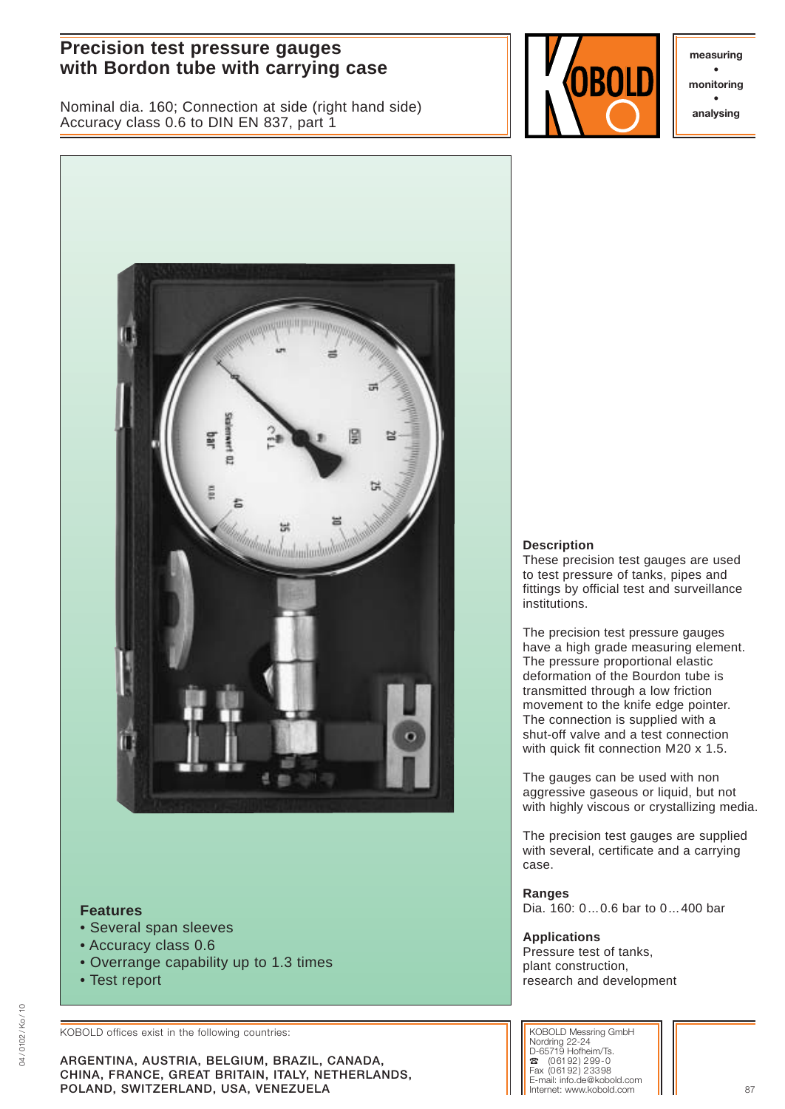# **Precision test pressure gauges with Bordon tube with carrying case with the surface of the surface of the surface of the surface of the surface of the surface of the surface of the surface of the surface of the surface of the surface of the surface o**

Nominal dia. 160; Connection at side (right hand side) Accuracy class 0.6 to DIN EN 837, part 1



**• monitoring • analysing**



# **Features**

- Several span sleeves
- Accuracy class 0.6
- Overrange capability up to 1.3 times
- Test report

KOBOLD offices exist in the following countries:

**ARGENTINA, AUSTRIA, BELGIUM, BRAZIL, CANADA, CHINA, FRANCE, GREAT BRITAIN, ITALY, NETHERLANDS, POLAND, SWITZERLAND, USA, VENEZUELA** 87

#### **Description**

These precision test gauges are used to test pressure of tanks, pipes and fittings by official test and surveillance institutions.

The precision test pressure gauges have a high grade measuring element. The pressure proportional elastic deformation of the Bourdon tube is transmitted through a low friction movement to the knife edge pointer. The connection is supplied with a shut-off valve and a test connection with quick fit connection M20 x 1.5.

The gauges can be used with non aggressive gaseous or liquid, but not with highly viscous or crystallizing media.

The precision test gauges are supplied with several, certificate and a carrying case.

**Ranges** Dia. 160: 0...0.6 bar to 0...400 bar

**Applications** Pressure test of tanks, plant construction, research and development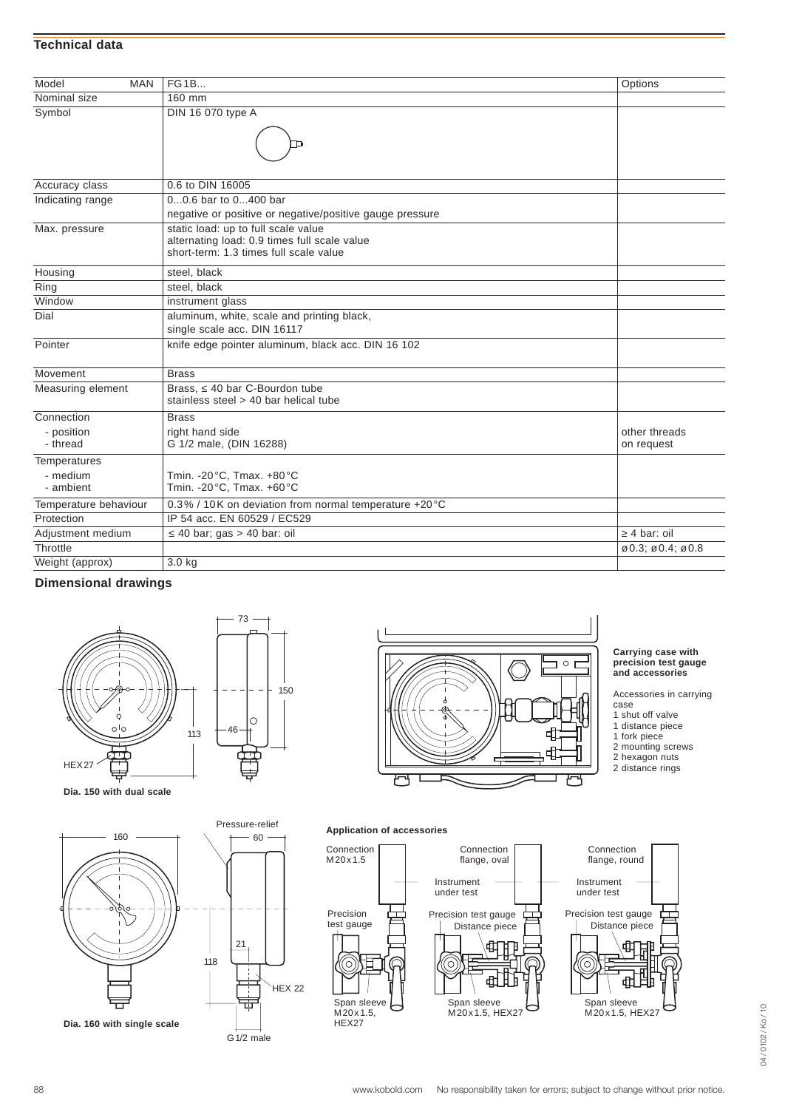#### **Technical data**

| Model<br><b>MAN</b>    | <b>FG1B</b>                                                                                                                   |                                                         |
|------------------------|-------------------------------------------------------------------------------------------------------------------------------|---------------------------------------------------------|
| Nominal size           | 160 mm                                                                                                                        | Options                                                 |
|                        |                                                                                                                               |                                                         |
| Symbol                 | DIN 16 070 type A                                                                                                             |                                                         |
| Accuracy class         | 0.6 to DIN 16005                                                                                                              |                                                         |
| Indicating range       | 00.6 bar to 0400 bar                                                                                                          |                                                         |
|                        | negative or positive or negative/positive gauge pressure                                                                      |                                                         |
| Max. pressure          | static load: up to full scale value<br>alternating load: 0.9 times full scale value<br>short-term: 1.3 times full scale value |                                                         |
| Housing                | steel, black                                                                                                                  |                                                         |
| Ring                   | steel, black                                                                                                                  |                                                         |
| Window                 | instrument glass                                                                                                              |                                                         |
| Dial                   | aluminum, white, scale and printing black,<br>single scale acc. DIN 16117                                                     |                                                         |
| Pointer                | knife edge pointer aluminum, black acc. DIN 16 102                                                                            |                                                         |
| Movement               | <b>Brass</b>                                                                                                                  |                                                         |
| Measuring element      | Brass. 40 bar C-Bourdon tube<br>stainless steel > 40 bar helical tube                                                         |                                                         |
| Connection             | <b>Brass</b>                                                                                                                  |                                                         |
| - position<br>- thread | right hand side<br>G 1/2 male, (DIN 16288)                                                                                    | other threads<br>on request                             |
| Temperatures           |                                                                                                                               |                                                         |
| - medium<br>- ambient  | Tmin. - 20 °C, Tmax. +80 °C<br>Tmin. - 20°C, Tmax. +60°C                                                                      |                                                         |
| Temperature behaviour  | 0.3% / 10K on deviation from normal temperature +20 °C                                                                        |                                                         |
| Protection             | IP 54 acc. EN 60529 / EC529                                                                                                   |                                                         |
| Adjustment medium      | 40 bar; gas $> 40$ bar: oil                                                                                                   | 4 bar: oil                                              |
| Throttle               |                                                                                                                               | $\varnothing$ 0.3; $\varnothing$ 0.4; $\varnothing$ 0.8 |
| Weight (approx)        | $3.0$ kg                                                                                                                      |                                                         |

# **Dimensional drawings**





 $\Box$   $\circ$   $\Box$ ф 2 hexagon nuts HEX27 2 distance rings

#### **Carrying case with precision test gauge and accessories**

Accessories in carrying

- case
- 1 shut off valve 1 distance piece
- 1 fork piece
- 2 mounting screws
- 
- 

**Dia. 150 with dual scale**



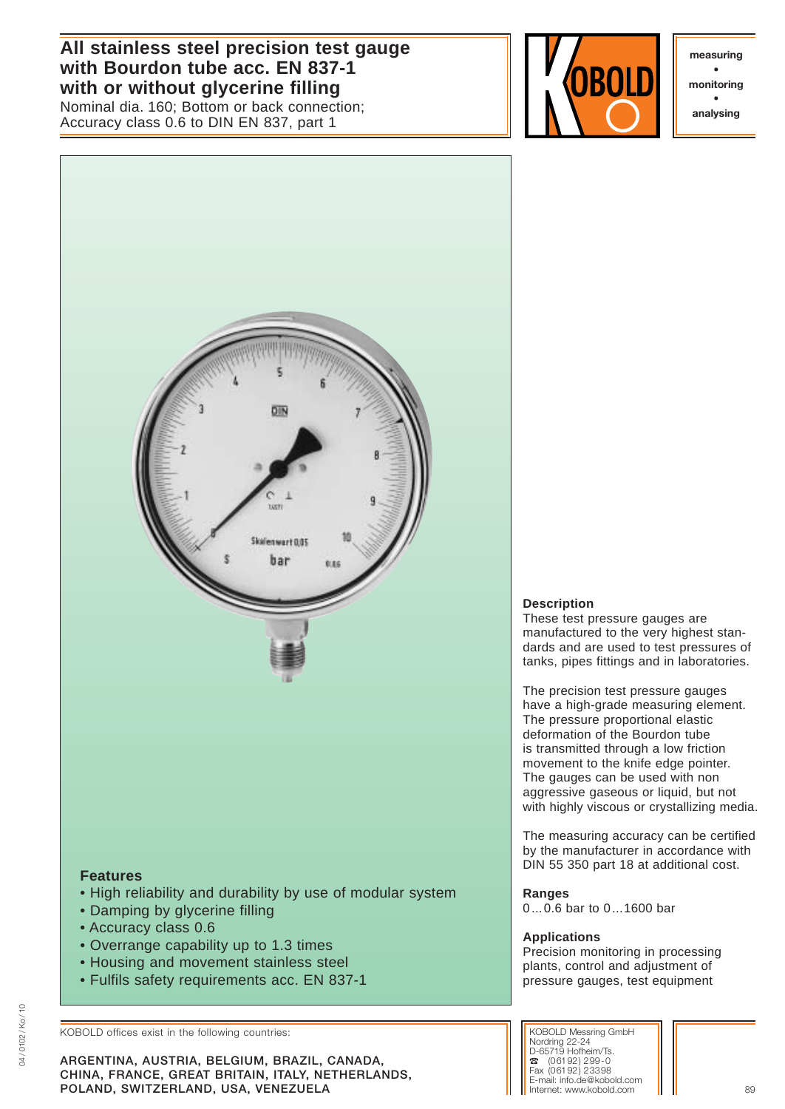**All stainless steel precision test gauge with Bourdon tube acc. EN 837-1 with or without glycerine filling**

Nominal dia. 160; Bottom or back connection; Accuracy class 0.6 to DIN EN 837, part 1



**measuring • monitoring • analysing**



- 
- Damping by glycerine filling
- Accuracy class 0.6
- Overrange capability up to 1.3 times
- Housing and movement stainless steel
- Fulfils safety requirements acc. EN 837-1

KOBOLD offices exist in the following countries:

**ARGENTINA, AUSTRIA, BELGIUM, BRAZIL, CANADA, CHINA, FRANCE, GREAT BRITAIN, ITALY, NETHERLANDS, POLAND, SWITZERLAND, USA, VENEZUELA** 89 **1999 1999 1999 1999 1999 1999 10:40 10:40 10:40 10:40 10:40 10:40 10:40 10:40 10:40 10:40 10:40 10:40 10:40 10:40 10:40 10:40 10:40 10:40 10:40 10:40 10:40 10:40 10:40 10:40 10:40** 

# **Description**

These test pressure gauges are manufactured to the very highest standards and are used to test pressures of tanks, pipes fittings and in laboratories.

The precision test pressure gauges have a high-grade measuring element. The pressure proportional elastic deformation of the Bourdon tube is transmitted through a low friction movement to the knife edge pointer. The gauges can be used with non aggressive gaseous or liquid, but not with highly viscous or crystallizing media.

The measuring accuracy can be certified by the manufacturer in accordance with DIN 55 350 part 18 at additional cost.

**Ranges** 0...0.6 bar to 0...1600 bar

# **Applications**

Precision monitoring in processing plants, control and adjustment of pressure gauges, test equipment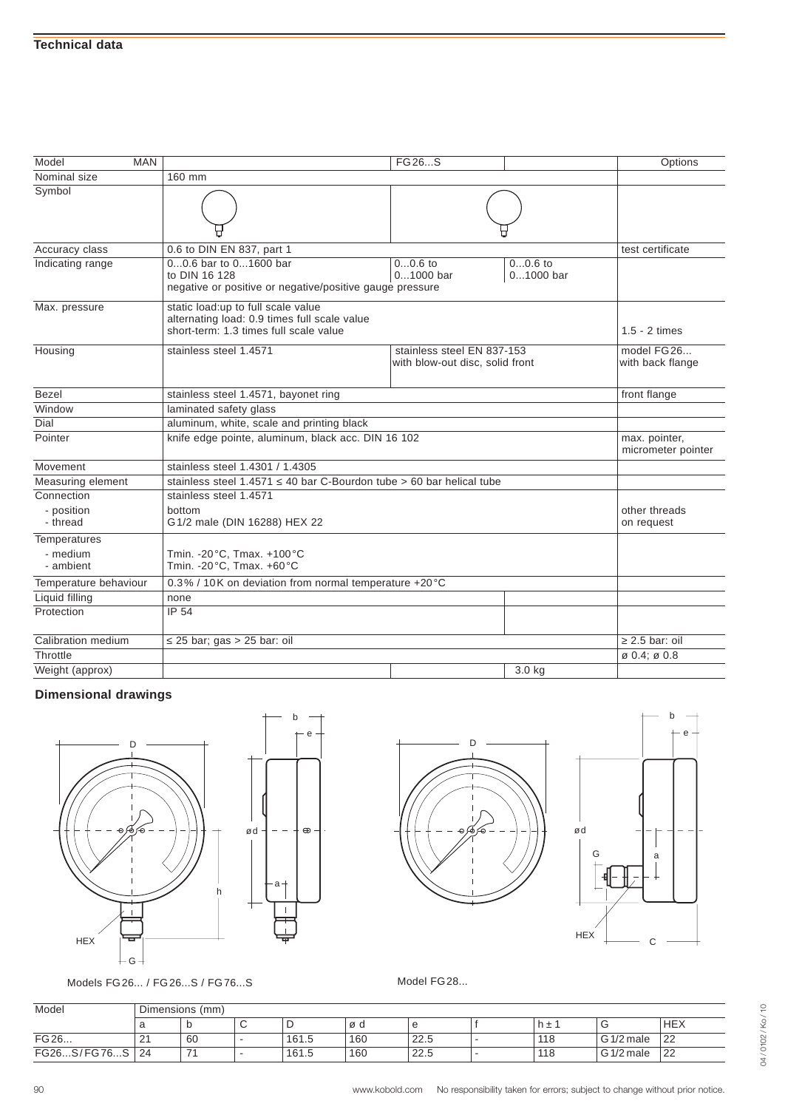| Model<br><b>MAN</b>                   |                                                                                                                              | FG 26S                                                        |                | Options                              |  |  |  |  |
|---------------------------------------|------------------------------------------------------------------------------------------------------------------------------|---------------------------------------------------------------|----------------|--------------------------------------|--|--|--|--|
| Nominal size                          | 160 mm                                                                                                                       |                                                               |                |                                      |  |  |  |  |
| Symbol                                |                                                                                                                              |                                                               |                |                                      |  |  |  |  |
| Accuracy class                        | 0.6 to DIN EN 837, part 1                                                                                                    |                                                               |                | test certificate                     |  |  |  |  |
| Indicating range                      | 00.6 bar to 01600 bar<br>to DIN 16 128<br>negative or positive or negative/positive gauge pressure                           |                                                               |                |                                      |  |  |  |  |
| Max. pressure                         | static load:up to full scale value<br>alternating load: 0.9 times full scale value<br>short-term: 1.3 times full scale value |                                                               |                |                                      |  |  |  |  |
| Housing                               | stainless steel 1.4571                                                                                                       | stainless steel EN 837-153<br>with blow-out disc, solid front |                | model FG26<br>with back flange       |  |  |  |  |
| <b>Bezel</b>                          | stainless steel 1.4571, bayonet ring                                                                                         |                                                               |                | front flange                         |  |  |  |  |
| Window                                | laminated safety glass                                                                                                       |                                                               |                |                                      |  |  |  |  |
| Dial                                  | aluminum, white, scale and printing black                                                                                    |                                                               |                |                                      |  |  |  |  |
| Pointer                               | knife edge pointe, aluminum, black acc. DIN 16 102                                                                           | max. pointer,<br>micrometer pointer                           |                |                                      |  |  |  |  |
| Movement                              | stainless steel 1.4301 / 1.4305                                                                                              |                                                               |                |                                      |  |  |  |  |
| Measuring element                     | stainless steel 1.4571<br>40 bar C-Bourdon tube > 60 bar helical tube                                                        |                                                               |                |                                      |  |  |  |  |
| Connection                            | stainless steel 1.4571                                                                                                       |                                                               |                |                                      |  |  |  |  |
| - position<br>- thread                | bottom<br>G1/2 male (DIN 16288) HEX 22                                                                                       |                                                               |                | other threads<br>on request          |  |  |  |  |
| Temperatures<br>- medium<br>- ambient | Tmin. - 20°C, Tmax. + 100°C<br>Tmin. - 20°C, Tmax. +60°C                                                                     |                                                               |                |                                      |  |  |  |  |
| Temperature behaviour                 |                                                                                                                              | 0.3% / 10K on deviation from normal temperature +20°C         |                |                                      |  |  |  |  |
| Liquid filling                        | none                                                                                                                         |                                                               |                |                                      |  |  |  |  |
| Protection                            | IP 54                                                                                                                        |                                                               |                |                                      |  |  |  |  |
| Calibration medium                    | 25 bar; gas > 25 bar: oil                                                                                                    |                                                               | $2.5$ bar: oil |                                      |  |  |  |  |
| Throttle                              |                                                                                                                              |                                                               |                | $\varnothing$ 0.4; $\varnothing$ 0.8 |  |  |  |  |
| Weight (approx)                       |                                                                                                                              |                                                               | 3.0 kg         |                                      |  |  |  |  |





Models FG26... / FG26...S / FG76...S Model FG28...





| Model             | Dimensions (mm) |    |   |       |     |      |  |     |            |            |
|-------------------|-----------------|----|---|-------|-----|------|--|-----|------------|------------|
|                   |                 |    | ັ |       | ød  |      |  | ∣±  |            | <b>HEX</b> |
| $\overline{G}$ 26 | <u>_</u>        | 60 |   | 161.5 | 160 | 22.5 |  | 118 | G 1/2 male | 22         |
| FG26S/FG76S       | -24             |    |   | 161.5 | 160 | 22.5 |  | 118 | G 1/2 male | 22         |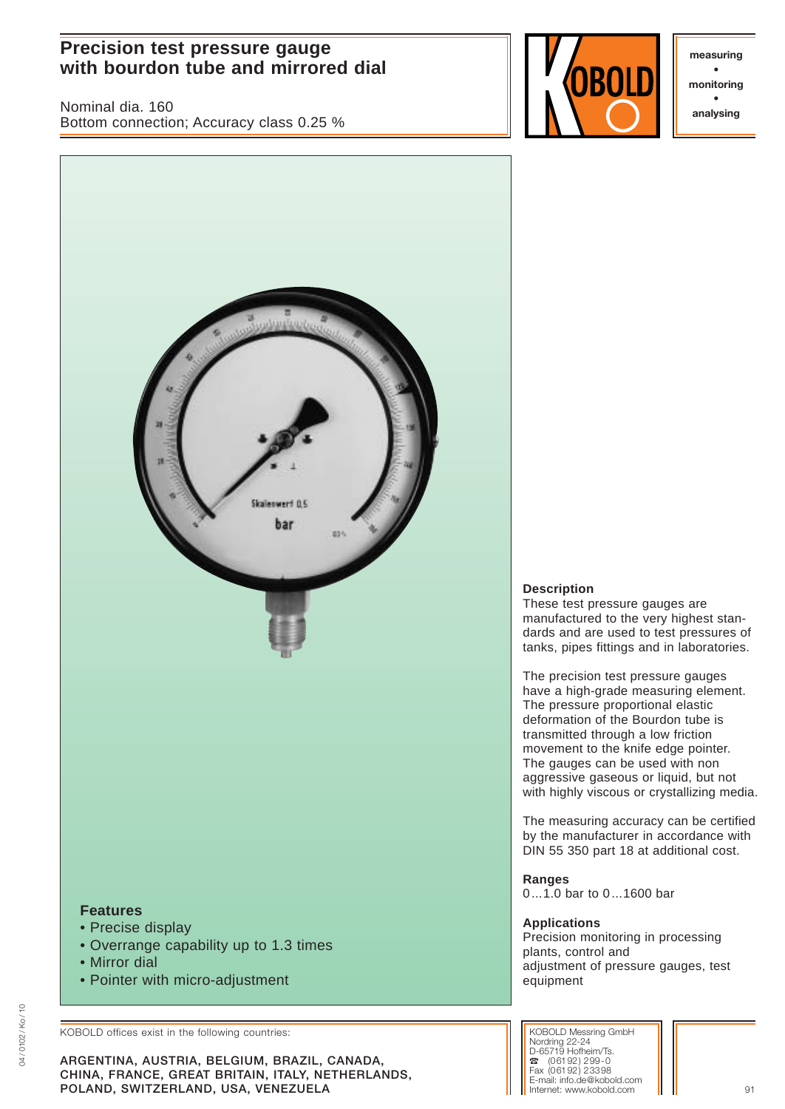# **Precision test pressure gauge with bourdon tube and mirrored dial with bourdon tube and mirrored dial with solution**  $\begin{bmatrix} \mathbf{m} & \mathbf{m} \\ \mathbf{m} & \mathbf{m} \end{bmatrix}$

Nominal dia. 160 Bottom connection; Accuracy class 0.25 %



**• monitoring • analysing**



# **Description**

These test pressure gauges are manufactured to the very highest standards and are used to test pressures of tanks, pipes fittings and in laboratories.

The precision test pressure gauges have a high-grade measuring element. The pressure proportional elastic deformation of the Bourdon tube is transmitted through a low friction movement to the knife edge pointer. The gauges can be used with non aggressive gaseous or liquid, but not with highly viscous or crystallizing media.

The measuring accuracy can be certified by the manufacturer in accordance with DIN 55 350 part 18 at additional cost.

**Ranges** 0...1.0 bar to 0...1600 bar

# **Applications**

Precision monitoring in processing plants, control and adjustment of pressure gauges, test equipment

KOBOLD offices exist in the following countries:

**ARGENTINA, AUSTRIA, BELGIUM, BRAZIL, CANADA, CHINA, FRANCE, GREAT BRITAIN, ITALY, NETHERLANDS, POLAND, SWITZERLAND, USA, VENEZUELA** 91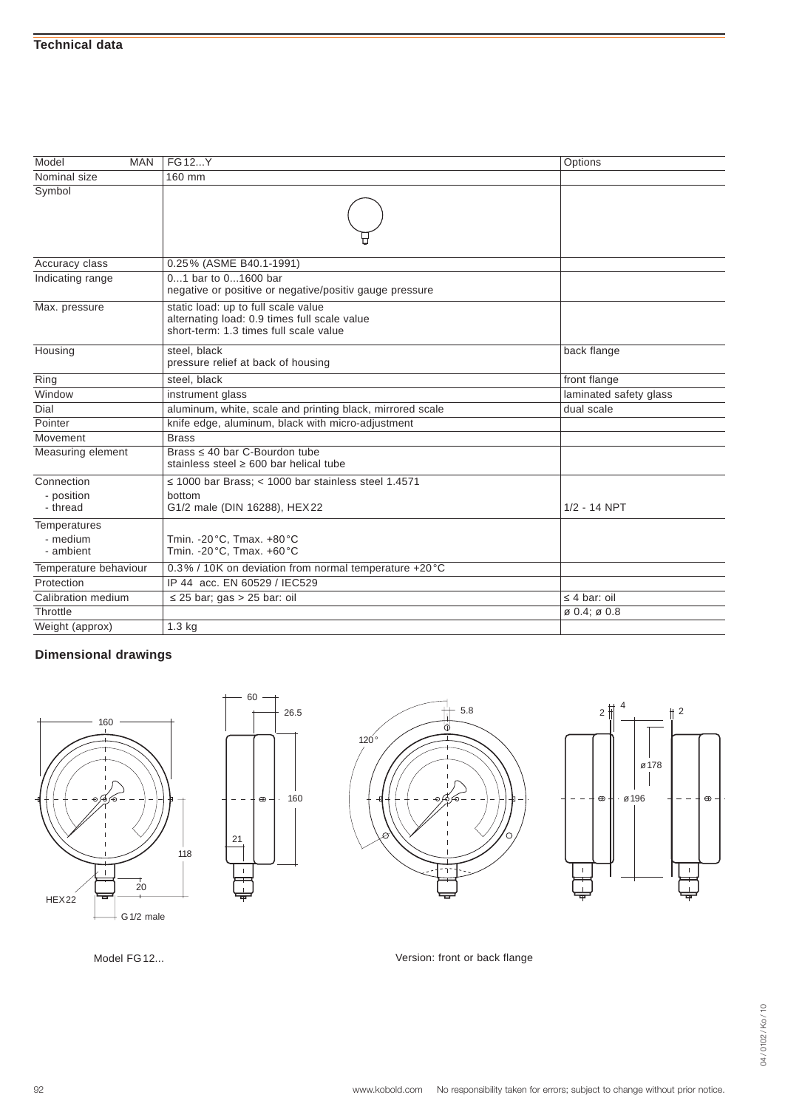| Model<br><b>MAN</b>    | FG12Y                                                                                                                         | Options                          |
|------------------------|-------------------------------------------------------------------------------------------------------------------------------|----------------------------------|
| Nominal size           | 160 mm                                                                                                                        |                                  |
| Symbol                 |                                                                                                                               |                                  |
| Accuracy class         | 0.25% (ASME B40.1-1991)                                                                                                       |                                  |
| Indicating range       | 01 bar to 01600 bar<br>negative or positive or negative/positiv gauge pressure                                                |                                  |
| Max. pressure          | static load: up to full scale value<br>alternating load: 0.9 times full scale value<br>short-term: 1.3 times full scale value |                                  |
| Housing                | steel. black<br>pressure relief at back of housing                                                                            | back flange                      |
| Ring                   | steel, black                                                                                                                  | front flange                     |
| Window                 | instrument glass                                                                                                              | laminated safety glass           |
| Dial                   | aluminum, white, scale and printing black, mirrored scale                                                                     | dual scale                       |
| Pointer                | knife edge, aluminum, black with micro-adjustment                                                                             |                                  |
| Movement               | <b>Brass</b>                                                                                                                  |                                  |
| Measuring element      | Brass 40 bar C-Bourdon tube<br>stainless steel 600 bar helical tube                                                           |                                  |
| Connection             | 1000 bar Brass; < 1000 bar stainless steel 1.4571                                                                             |                                  |
| - position<br>- thread | bottom<br>G1/2 male (DIN 16288), HEX22                                                                                        | $1/2 - 14$ NPT                   |
| Temperatures           |                                                                                                                               |                                  |
| - medium<br>- ambient  | Tmin. - 20°C, Tmax. +80°C<br>Tmin. - 20°C, Tmax. +60°C                                                                        |                                  |
| Temperature behaviour  | 0.3% / 10K on deviation from normal temperature +20 °C                                                                        |                                  |
| Protection             | IP 44 acc. FN 60529 / IEC529                                                                                                  |                                  |
| Calibration medium     | 25 bar; gas > 25 bar: oil                                                                                                     | 4 bar: oil                       |
| Throttle               |                                                                                                                               | $\frac{1}{60}$ 0.4; $\sigma$ 0.8 |
| Weight (approx)        | 1.3 <sub>kg</sub>                                                                                                             |                                  |



21

 $\mathbb T$ 

60

 $\oplus$   $\cdot$ 





Model FG12... **Model FG12...** Network of the Version: front or back flange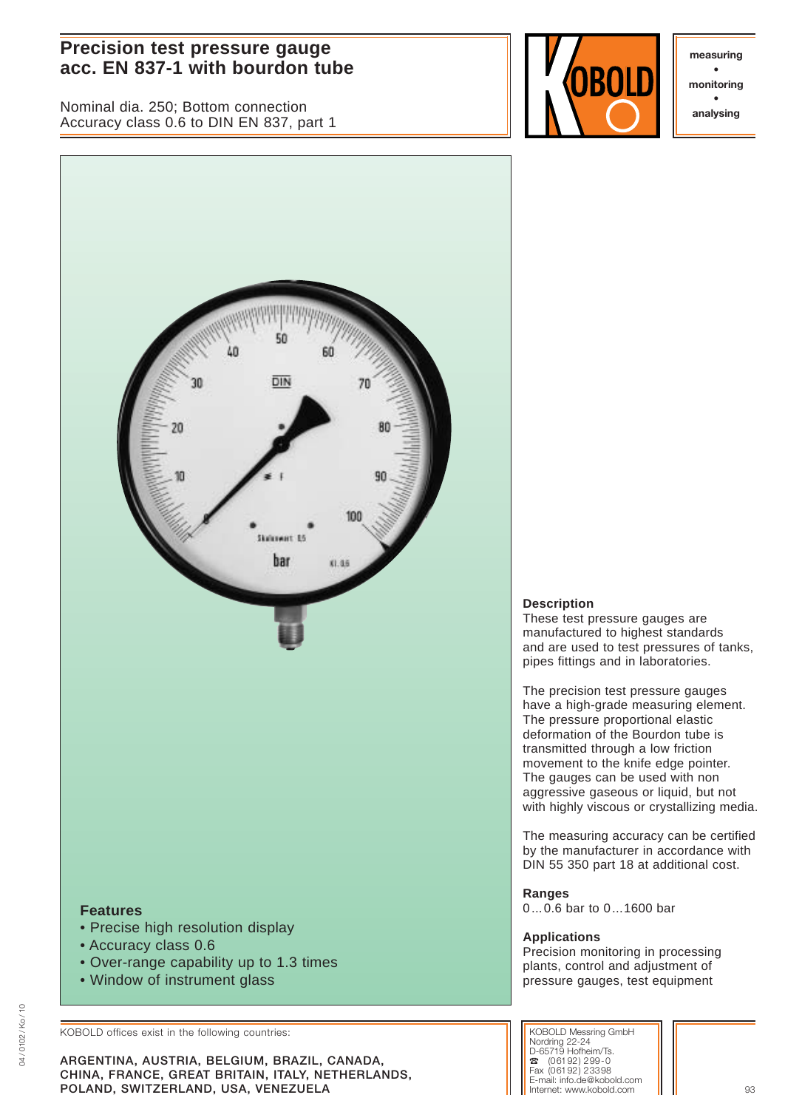# **Precision test pressure gauge acc. EN 837-1 with bourdon tube and the set of the set of the set of the set of the set of the set of the set of the set of the set of the set of the set of the set of the set of the set of the set of the set of the set**

Nominal dia. 250; Bottom connection Accuracy class 0.6 to DIN EN 837, part 1



**• monitoring • analysing**



• Window of instrument glass

KOBOLD offices exist in the following countries:

**ARGENTINA, AUSTRIA, BELGIUM, BRAZIL, CANADA, CHINA, FRANCE, GREAT BRITAIN, ITALY, NETHERLANDS, POLAND, SWITZERLAND, USA, VENEZUELA** 93

# **Description**

These test pressure gauges are manufactured to highest standards and are used to test pressures of tanks, pipes fittings and in laboratories.

The precision test pressure gauges have a high-grade measuring element. The pressure proportional elastic deformation of the Bourdon tube is transmitted through a low friction movement to the knife edge pointer. The gauges can be used with non aggressive gaseous or liquid, but not with highly viscous or crystallizing media.

The measuring accuracy can be certified by the manufacturer in accordance with DIN 55 350 part 18 at additional cost.

**Ranges** 0...0.6 bar to 0...1600 bar

#### **Applications**

Precision monitoring in processing plants, control and adjustment of pressure gauges, test equipment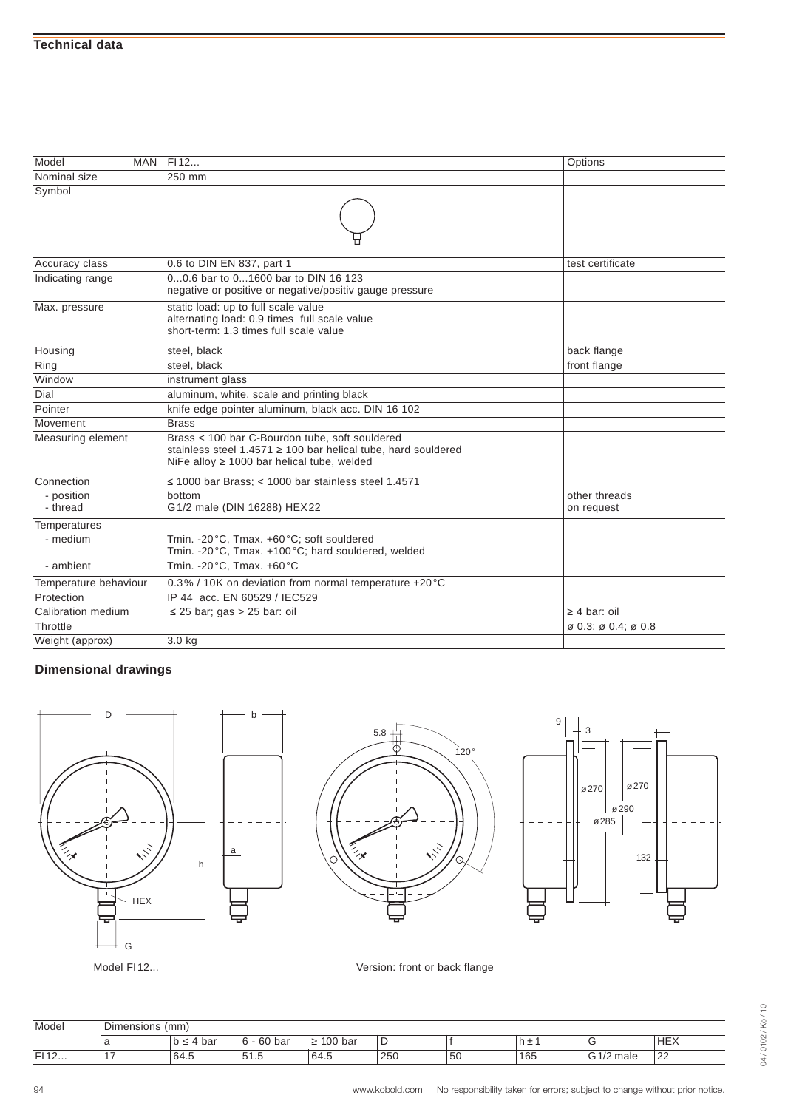| Model<br>MAN           | FI12                                                                                                                                                      | Options                                                 |
|------------------------|-----------------------------------------------------------------------------------------------------------------------------------------------------------|---------------------------------------------------------|
| Nominal size           | 250 mm                                                                                                                                                    |                                                         |
| Symbol                 |                                                                                                                                                           |                                                         |
| Accuracy class         | 0.6 to DIN EN 837, part 1                                                                                                                                 | test certificate                                        |
| Indicating range       | 00.6 bar to 01600 bar to DIN 16 123<br>negative or positive or negative/positiv gauge pressure                                                            |                                                         |
| Max. pressure          | static load: up to full scale value<br>alternating load: 0.9 times full scale value<br>short-term: 1.3 times full scale value                             |                                                         |
| Housing                | steel, black                                                                                                                                              | back flange                                             |
| Ring                   | steel, black                                                                                                                                              | front flange                                            |
| Window                 | instrument glass                                                                                                                                          |                                                         |
| Dial                   | aluminum, white, scale and printing black                                                                                                                 |                                                         |
| Pointer                | knife edge pointer aluminum, black acc. DIN 16 102                                                                                                        |                                                         |
| Movement               | <b>Brass</b>                                                                                                                                              |                                                         |
| Measuring element      | Brass < 100 bar C-Bourdon tube, soft souldered<br>stainless steel 1.4571 100 bar helical tube, hard souldered<br>NiFe alloy 1000 bar helical tube, welded |                                                         |
| Connection             | 1000 bar Brass; < 1000 bar stainless steel 1.4571                                                                                                         |                                                         |
| - position<br>- thread | bottom<br>G 1/2 male (DIN 16288) HEX 22                                                                                                                   | other threads<br>on request                             |
| <b>Temperatures</b>    |                                                                                                                                                           |                                                         |
| - medium               | Tmin. - 20°C, Tmax. +60°C; soft souldered<br>Tmin. - 20°C, Tmax. +100°C; hard souldered, welded                                                           |                                                         |
| - ambient              | Tmin. - 20°C, Tmax. +60°C                                                                                                                                 |                                                         |
| Temperature behaviour  | 0.3% / 10K on deviation from normal temperature +20 °C                                                                                                    |                                                         |
| Protection             | IP 44 acc. EN 60529 / IEC529                                                                                                                              |                                                         |
| Calibration medium     | 25 bar; gas > 25 bar: oil                                                                                                                                 | 4 bar: oil                                              |
| Throttle               |                                                                                                                                                           | $\varnothing$ 0.3; $\varnothing$ 0.4; $\varnothing$ 0.8 |
| Weight (approx)        | 3.0 <sub>kg</sub>                                                                                                                                         |                                                         |







Model FI12... **Model FI12...** Version: front or back flange

| Model | $\overline{\phantom{a}}$<br>(mm<br><b>I</b> Dimensions |      |                     |                |     |    |     |      |              |
|-------|--------------------------------------------------------|------|---------------------|----------------|-----|----|-----|------|--------------|
|       |                                                        | ba   | $\sim$<br>bai<br>оu | $00 \,$<br>bar | ╺   |    | . . | ∼    | 'HEX         |
| FI12  |                                                        | 64.5 | 51.5                | 64.S           | 250 | 5U | 165 | male | $\sim$<br>∠∠ |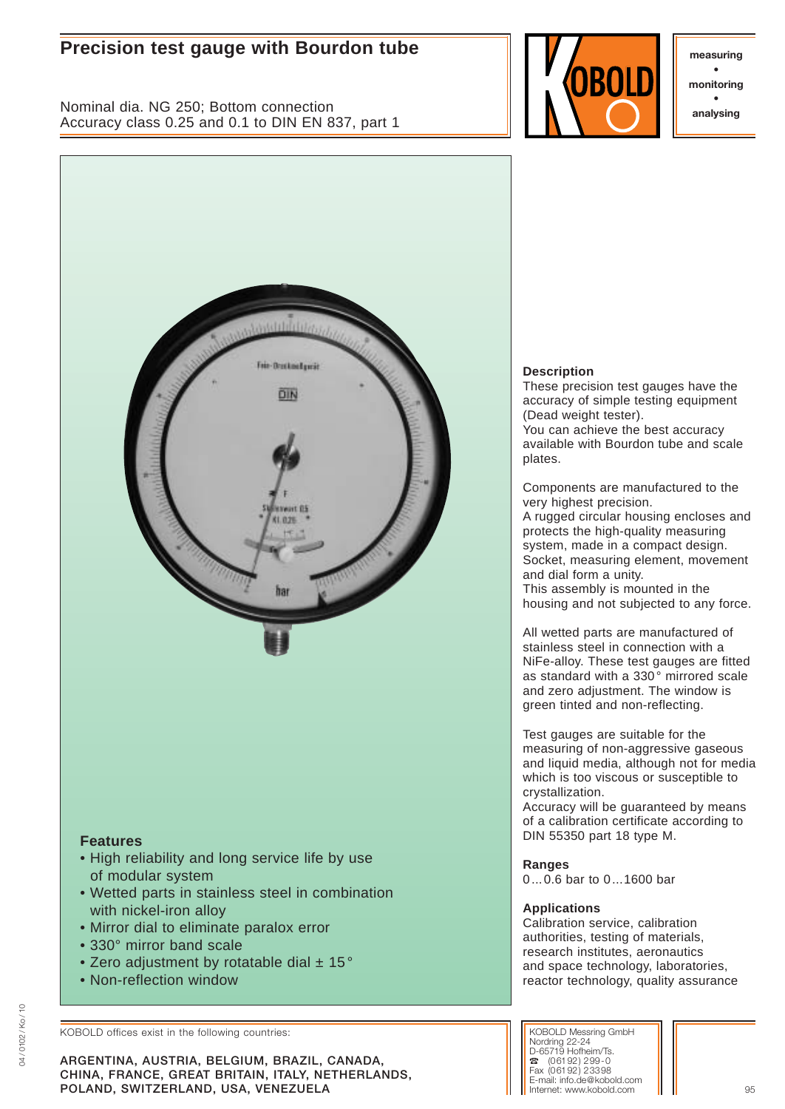# **Precision test gauge with Bourdon tube and all the substitution of the substitution**  $\parallel \cdot \parallel$  **measuring**

Nominal dia. NG 250; Bottom connection Accuracy class 0.25 and 0.1 to DIN EN 837, part 1



**• monitoring • analysing**



# **Features**

- High reliability and long service life by use of modular system
- Wetted parts in stainless steel in combination with nickel-iron alloy
- Mirror dial to eliminate paralox error
- 330° mirror band scale
- Zero adjustment by rotatable dial  $\pm$  15 $^{\circ}$
- Non-reflection window

KOBOLD offices exist in the following countries:

**ARGENTINA, AUSTRIA, BELGIUM, BRAZIL, CANADA, CHINA, FRANCE, GREAT BRITAIN, ITALY, NETHERLANDS, POLAND, SWITZERLAND, USA, VENEZUELA** and the state of the state of the state of the state of the state of the state of the state of the state of the state of the state of the state of the state of the state of the state o

# **Description**

These precision test gauges have the accuracy of simple testing equipment (Dead weight tester).

You can achieve the best accuracy available with Bourdon tube and scale plates.

Components are manufactured to the very highest precision.

A rugged circular housing encloses and protects the high-quality measuring system, made in a compact design. Socket, measuring element, movement and dial form a unity.

This assembly is mounted in the housing and not subjected to any force.

All wetted parts are manufactured of stainless steel in connection with a NiFe-alloy. These test gauges are fitted as standard with a 330° mirrored scale and zero adjustment. The window is green tinted and non-reflecting.

Test gauges are suitable for the measuring of non-aggressive gaseous and liquid media, although not for media which is too viscous or susceptible to crystallization.

Accuracy will be guaranteed by means of a calibration certificate according to DIN 55350 part 18 type M.

# **Ranges**

0...0.6 bar to 0...1600 bar

# **Applications**

Calibration service, calibration authorities, testing of materials, research institutes, aeronautics and space technology, laboratories, reactor technology, quality assurance